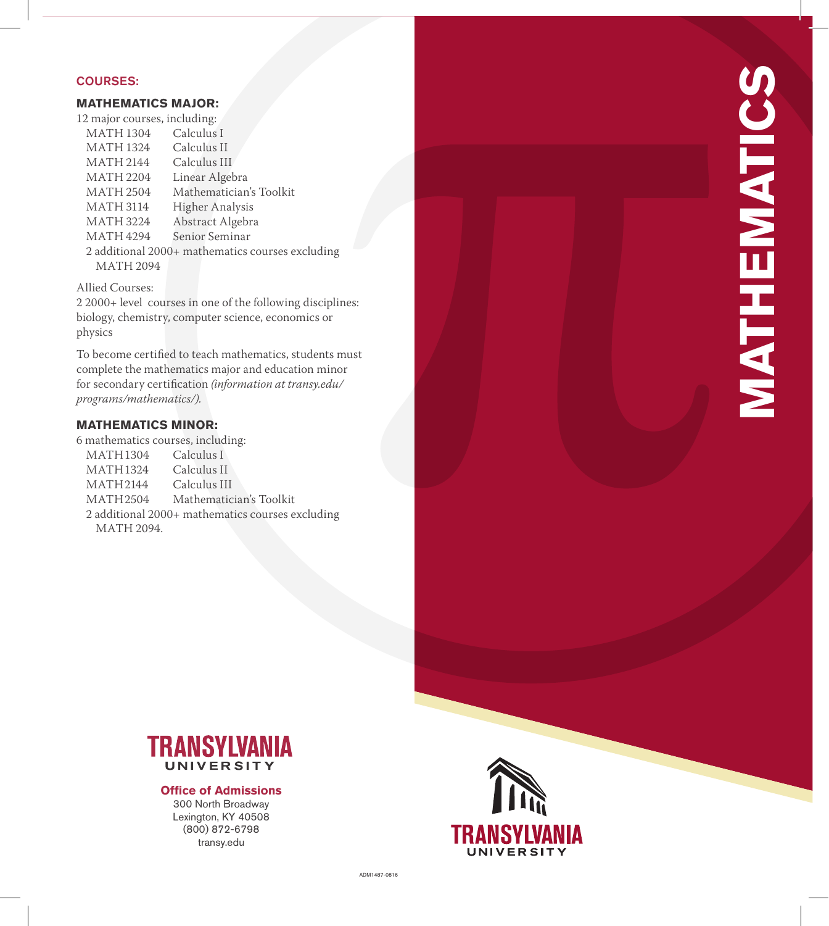### COURSES:

# **MATHEMATICS MAJOR:**

| 12 major courses, including: |                                                  |
|------------------------------|--------------------------------------------------|
| <b>MATH 1304</b>             | Calculus I                                       |
| <b>MATH 1324</b>             | Calculus II                                      |
| MATH 2144                    | Calculus III                                     |
| MATH 2204                    | Linear Algebra                                   |
| MATH 2504                    | Mathematician's Toolkit                          |
| <b>MATH 3114</b>             | Higher Analysis                                  |
| <b>MATH 3224</b>             | Abstract Algebra                                 |
| MATH 4294                    | Senior Seminar                                   |
|                              | 2 additional 2000+ mathematics courses excluding |
| <b>MATH 2094</b>             |                                                  |
|                              |                                                  |

Allied Courses:

2 2000+ level courses in one of the following disciplines: biology, chemistry, computer science, economics or physics

To become certified to teach mathematics, students must complete the mathematics major and education minor for secondary certification *(information at transy.edu/ programs/mathematics/).*

# **MATHEMATICS MINOR:**

6 mathematics courses, including:<br>MATH1304 Calculus I MATH1304 Calculus I<br>MATH1324 Calculus II MATH1324 Calculus II<br>MATH2144 Calculus III MATH 2144<br>MATH 2504 Mathematician's Toolkit 2 additional 2000+ mathematics courses excluding MATH 2094.



#### **Office of Admissions**

300 North Broadway Lexington, KY 40508 (800) 872-6798 transy.edu